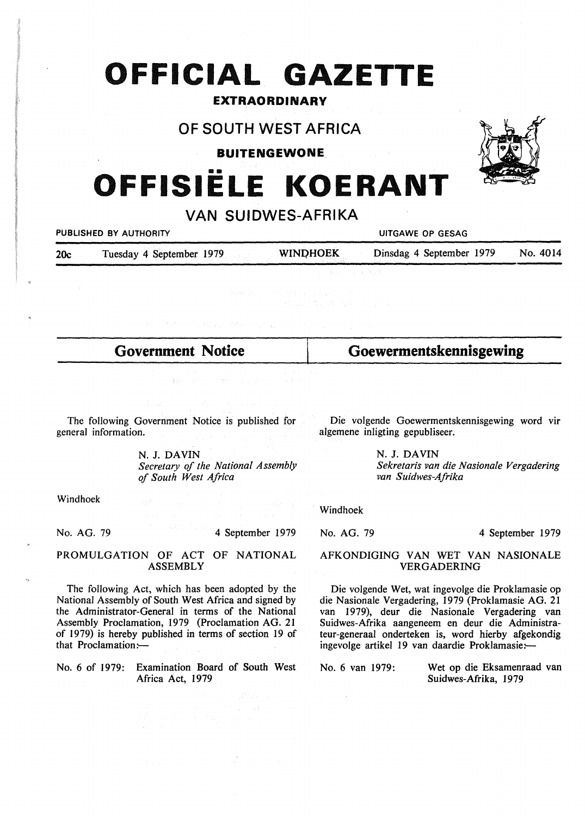# **OFFICIAL GAZETTE**

### **EXTRAORDINARY**

## **OF SOUTH WEST AFRICA**

**BUITENGEWONE** 

# •• **OFFISIELE KOERANT**

**VAN SUIDWES-AFRIKA** 

*<u>UITGAWE OP GESAG</u>* 

| 20c | Tuesday 4 September 1979 |  | <b>WINDHOEK</b> | Dinsdag 4 September 1979 | No. 4014 |
|-----|--------------------------|--|-----------------|--------------------------|----------|
|     |                          |  |                 |                          |          |

**Government Notice** 

**Goewermentskennisgewing** 

The following Government Notice is published for general information.

 $-0.011$ 

N. J. DAVIN *Secretary of the National Assembly of South West Africa* 

Windhoek

No. AG. 79

4 September 1979

#### PROMULGATION OF ACT OF NATIONAL ASSEMBLY

The following Act, which has been adopted by the National Assembly of South West Africa and signed by the Administrator-General in terms of the National Assembly Proclamation, 1979 (Proclamation AG. 21 of 1979) is hereby published in terms of section 19 of that Proclamation: $-$ 

No. 6 of 1979: Examination Board of South West Africa Act, 1979

Die volgende Goewermentskennisgewing word vir algemene inligting gepubliseer.

> N. J. **DAVIN**  *Sekretaris van die Nasionale Vergadering van Suidwes-Afrika*

Windhoek

No. AG. 79

 $\sim$   $\sim$ 

4 September 1979

#### AFKONDIGING VAN WET VAN NASIONALE VERGADERING

Die volgende Wet, wat ingevolge die Proklamasie op die Nasionale Vergadering, 1979 (Proklamasie AG. 21 van 1979), deur die Nasionale Vergadering van Suidwes-Afrika aangeneem en deur die Administrateur-generaal onderteken is, word hierby afgekondig ingevolge artikel 19 van daardie Proklamasie:-

No. 6 van 1979: Wet op die Eksamenraad van Suidwes-Afrika, 1979

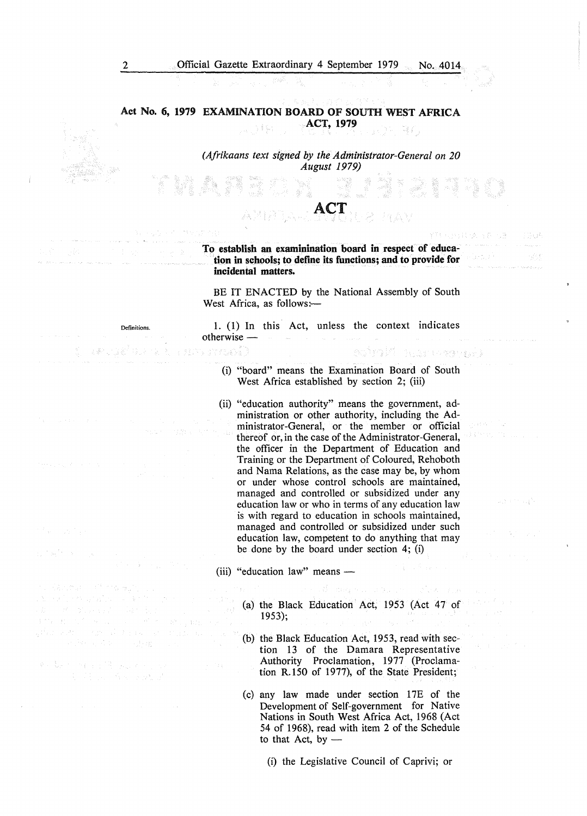**Act No. 6, 1979 EXAMINATION BOARD OF SOUTH WEST AFRICA ACT, 1979**  2. 31%

> *(Afrikaans text signed by the Administrator-General on 20 August 1979)*

> > ACT

#### **To establish an examinination board in respect of education in schools; to define its functions; and to provide for incidental matters.**

BE IT ENACTED by the National Assembly of South West Africa, as follows:-

1. (1) In this Act, unless the context indicates otherwise -

(i) "board" means the Examination Board of South West Africa established by section 2; (iii)

医细胞的 医心包的 网络小脑分裂

- (ii) "education authority" means the government, administration or other authority, including the Administrator-General, or the member or official thereof or, in the case of the Administrator-General, the officer in the Department of Education and Training or the Department of Coloured, Rehoboth and Nama Relations, as the case may be, by whom or under whose control schools are maintained, managed and controlled or subsidized under any education law or who in terms of any education law is with regard to education in schools maintained, managed and controlled or subsidized under such education law, competent to do anything that may be done by the board under section 4; (i)
- (iii) "education law" means
	- (a) the Black Education Act, 1953 (Act 47 of 1953);
	- (b) the Black Education Act, 1953, read with section 13 of the Damara Representative Authority Proclamation, 1977 (Proclamation R.150 of 1977), of the State President;
	- (c) any law made under section 17E of the Development of Self-government for Native Nations in South West Africa Act, 1968 (Act 54 of 1968), read with item 2 of the Schedule to that Act, by  $-$

(i) the Legislative Council of Caprivi; or

All and Controlling Service Art County

 $\label{eq:2} \varphi_{\alpha} \partial \gamma = - \beta_{\alpha} \mathcal{D} - \sqrt{1 - 2 \beta_{\alpha} \gamma_{\alpha} + \alpha_{\beta} \gamma_{\alpha}}$ 

C. Channel Society

group of products and

Definitions.

er syeal)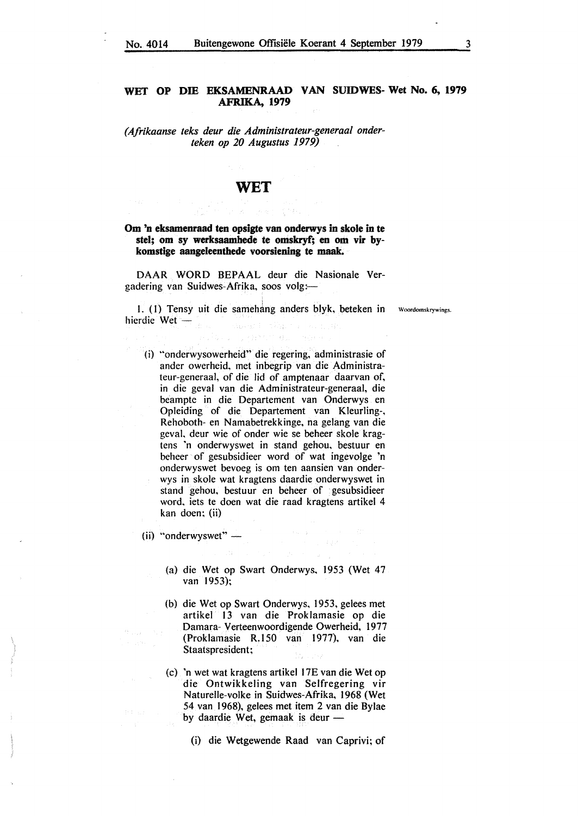#### **WET OP DIB EKSAMENRAAD VAN SUIDWES- Wet No. 6, 1979 AFRIKA, 1979**

*(Afrikaanse teks deur die Administrateur-generaal onderteken op 20 Augustus 1979)* 

### **WET**

#### **Om 'n eksamenraad ten opsigte van onderwys in skole in te stel; om sy werksaamhede te omskryf; en om vir bykomstige aangeleenthede voorsiening te maak.**

DAAR WORD BEPAAL deur die Nasionale Vergadering van Suidwes-Afrika, soos volg:-

1. (1) Tensy uit die samehang anders blyk, beteken in Woordomskrywings hierdie Wet  $-$ Salard English

( i) "onderwysowerheid" die regering, administrasie of ander owerheid, met inbegrip van die Administrateur-generaal, of die lid of amptenaar daarvan of, in die geval van die Adrninistrateur-generaal, die bearnpte in die Departement van Onderwys en Opleiding of die Departement van Kleurling-, Rehoboth- en Namabetrekkinge, na gelang van die geval. deur wie of onder wie se beheer skole kragtens 'n onderwyswet in stand gehou. bestuur en beheer of gesubsidieer word of wat ingevolge 'n onderwyswet bevoeg is om ten aansien van onderwys in skole wat kragtens daardie onderwyswet in stand gehou, bestuur en beheer of gesubsidieer word. iets te doen wat die raad kragtens artikel 4 kan doen; (ii)

(ii) "onderwyswet"  $-$ 

(a) die Wet op Swart Onderwys. 1953 (Wet 47 van 1953);

 $\{1, \ldots, \frac{1}{2}\}$  .

- (b) die Wet op Swart Onderwys. 1953, gelees met artikel 13 van die Proklamasie op die Damara- Verteenwoordigende Owerheid, 1977 (Proklamasie R.150 van 1977), van die Staatspresident;
- (c) 'n wet wat kragtens artikel l 7E van die Wet op die Ontwikkeling van Selfregering vir Naturelle-volke in Suidwes-Afrika, 1968 (Wet 54 van 1968), gelees met item 2 van die Bylae by daardie Wet, gemaak is deur -

<sup>(</sup>i) die Wetgewende Raad van Caprivi; of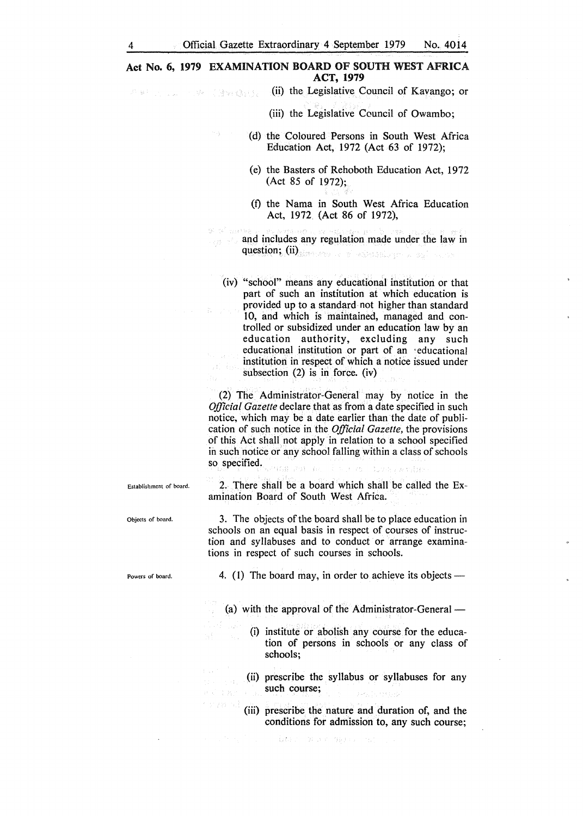#### **Act No. 6, 1979 EXAMINATION BOARD OF SOUTH WEST AFRICA ACT, 1979**

(ii) the Legislative Council of Kavango; or **不断的 2.2 不透明镜的复** 

Te<sup>9</sup> Savet

(iii) the Legislative Council of Owambo;

- (d) the Coloured Persons in South West Africa Education Act, 1972 (Act 63 of 1972);
	- (e) the Basters of Rehoboth Education Act, 1972 (Act 85 of 1972);
	- (f) the Nama in South West Africa Education Act, 1972 (Act 86 of 1972),

and includes any regulation made under the law in question; (ii) and a second contract of the second contract of the second contract of the second contract of the second contract of the second contract of the second contract of the second contract of the second contract o

(iv) "school" means any educational institution or that part of such an institution at which education is provided up to a standard not higher than standard 10, and which is maintained, managed and controlled or subsidized under an education law by an education authority, excluding any such educational institution or part of an · educational institution in respect of which a notice issued under subsection (2) is in force. (iv)

(2) The Administrator-General may by notice in the *Official Gazette* declare that as from a date specified in such notice, which may be a date earlier than the date of publication of such notice in the *Official Gazette,* the provisions of this Act shall not apply in relation to a school specified in such notice or any school falling within a class of schools so specified.  $13.7 - 45$ 

2. There shall be a board which shall be called the Examination Board of South West Africa.

3. The objects of the board shall be to place education in schools on an equal basis in respect of courses of instruction and syllabuses and to conduct or arrange examinations in respect of such courses in schools.

Powers of board.

Objects of board.

Establishment of board.

4. (1) The board may, in order to achieve its objects  $-$ 

(a) with the approval of the Administrator-General  $-$ 

(i) institute or abolish any course for the education of persons in schools or any class of schools;

(ii) prescribe the syllabus or syllabuses for any such course;

(iii) prescribe the nature and duration of, and the conditions for admission to, any such course;

LOST DESCRIPTION ON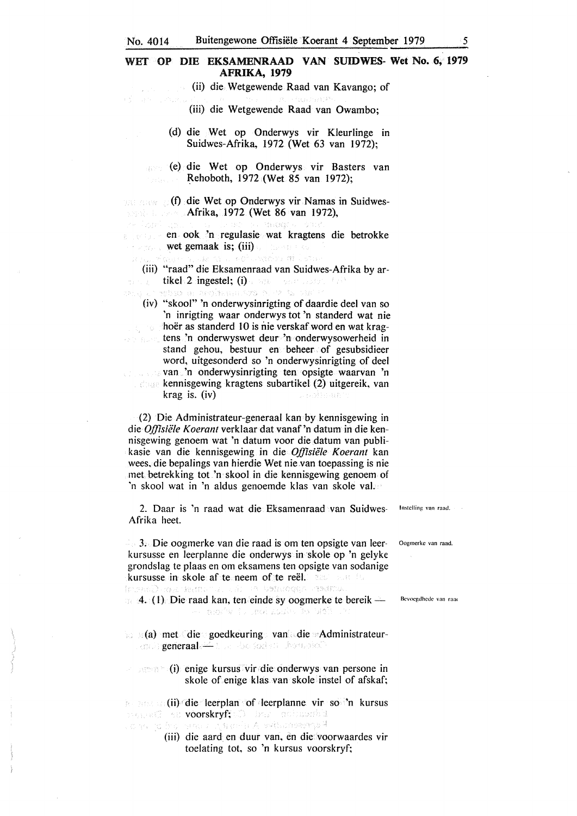# No. 4014 Buitengewone Offisiële Koerant 4 September 1979 55<br>WET OP DIE EKSAMENRAAD VAN SUIDWES- Wet No. 6, 1979 **AFRIKA, 1979**

(ii) die Wetgewende Raad van Kavango; of

(iii) die Wetgewende Raad van Owambo;

(d) die Wet op Onderwys vir Kleurlinge in Suidwes-Afrika, 1972 (Wet 63 van 1972);

(e) die Wet op Onderwys vir Basters van i popular ~ehoboth, 1972 (Wet 85 van 1972);

**(f) die Wet op Onderwys vir Namas in Suidwes-**Afrika, 1972 (Wet 86 van 1972),

en ook 'n regulasie wat kragtens die betrokke wet gemaak is; (iii) waard as

13341408033

Costable at

(iii) "raad" die Eksamenraad van Suidwes-Afrika by artikel 2 ingestel; (i) a basil part restrict  $t$  is<br>sebso in acologically specific particle

(iv) "skool" 'n onderwysinrigting of daardie deel van so 'n inrigting waar onderwys tot 'n standerd wat nie hoër as standerd 10 is nie verskaf word en wat krag- $\beta_2=0$ tens 'n onderwyswet deur 'n onderwysowerheid in stand gehou, bestuur en beheer of gesubsidieer word, uitgesonderd so 'n onderwysinrigting of dee! van 'n onderwysinrigting ten opsigte waarvan 'n kennisgewing kragtens subartikel (2) uitgereik, van krag is. (iv)

(2) Die Administrateur-generaal kan by kennisgewing in die *Offisiële Koerant* verklaar dat vanaf 'n datum in die kennisgewing genoem wat 'n datum voor die datum van publikasie van die kennisgewing in die *O./fisiiile Koerant* kan wees, die bepalings van hierdie Wet nie van toepassing is nie met betrekking tot 'n skool in die kennisgewing genoem of 'n skool wat in 'n aldus genoemde klas van skole val.

2. Daar is 'n raad wat die Eksamenraad van Suidwes- Instelling van raad. Afrika heet.

3. Die oogmerke van die raad is om ten opsigte van leer- Oogmerkc van rand. kursusse en leerplanne die onderwys in skole op 'n gelyke grondslag te plaas en om eksamens ten opsigte van sodanige kursusse in skole af te neem of te reël. The state of 4. (1) Die raad kan, ten einde sy oogmerke te bereik  $-$  Bevoegdhede van raad

ies algeby to gret zuzte its vrei

 $\Box$  (a) met die goedkeuring van die Administrateurenabl**generaal** als and de her benadel

(i) enige kursus vir die onderwys van persone in skole of enige klas van skole instel of afskaf;

**Example 1:** (ii) die leerplan of leerplanne vir so 'n kursus voorskryf; De Bare achteuthis<br>La roeg fan voorse gebouwde Alexificatiering

> (iii) die aard en duur van, en die voorwaardes vir toelating tot, so 'n kursus voorskryf;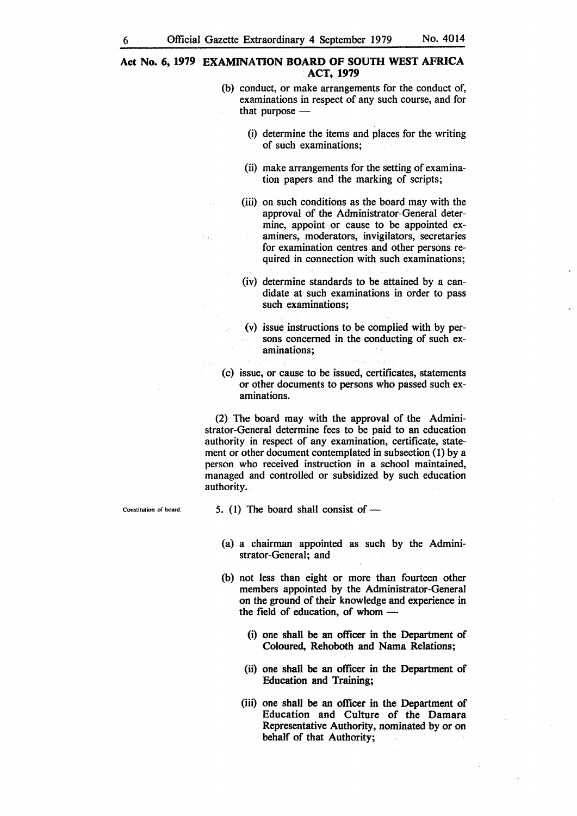#### **Act No. 6, 1979 EXAMINATION BOARD OF SOUTH WEST AFRICA ACT, 1979**

- (b) conduct, or make arrangements for the conduct of, examinations in respect of any such course, and for that purpose  $-$ 
	- (i) determine the items and places for the writing of such examinations;
	- (ii) make arrangements for the setting of examination papers and the marking of scripts;
	- (iii) on such conditions as the board may with the approval of the Administrator-General determine, appoint or cause to be appointed examiners, moderators, invigilators, secretaries for examination centres and other persons required in connection with such examinations;
	- (iv) determine standards to be attained by a candidate at such examinations in order to pass such examinations;
	- (v) issue instructions to be complied with by persons concerned in the conducting of such examinations;
- (c) issue, or cause to be issued, certificates, statements or other documents to persons who passed such examinations.

(2) The board may with the approval of the Administrator-General determine fees to be paid to an education authority in respect of any examination, certificate, statement or other document contemplated in subsection (1) by a person who received instruction in a school maintained, managed and controlled or subsidized by such education authority.

Constitution of board.

- 5. (1) The board shall consist of  $-$ 
	- (a) a chairman appointed as such by the Administrator-General; and
	- (b) not less than eight or more than fourteen other members appointed by the Administrator-General on the ground of their knowledge and experience in the field of education, of whom  $-$ 
		- (i) one shall be an officer in the Department of Coloured, Rehoboth and Nama Relations;
		- (ii) one shall be an officer in the Department of Education and Training;
		- (iii) one shall be an officer in the Department of Education and Culture of the Damara Representative Authority, nominated by or on behalf of that Authority;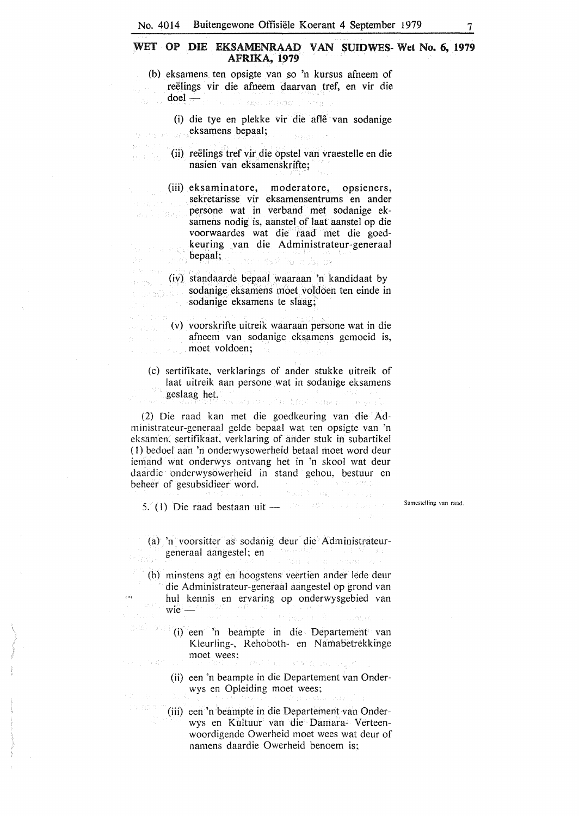#### **WET OP DIE EKSAMENRAAD VAN SUIDWES- Wet No. 6, 1979 AFRIKA, 1979**

- (b) eksamens ten opsigte van so 'n kursus afneem of reelings vir die afneem daarvan tref, en vir die  $doel$ гÁ, u 1. Gerald 1. bas
	- (i) die tye en plekke vir die afle van sodanige eksamens bepaal; **Carl Corp.**
	- (ii) reelings tref vir die opstel van vraestelle en die nasien van eksamenskrifte;

(iii) eksaminatore, moderatore, opsieners, sekretarisse vir eksamensentrums en ander () 法财产 ()。 persone wat in verband met sodanige ek- $\mathcal{E}_{\mathcal{U}}$  is the  $\mathcal{E}$ samens nodig is, aanstel of laat aanstel op die voorwaardes wat die raad met die goedkeuring van die Administrateur-generaal on the problem bepaal; in and ਬਰਾਂ ਵੱਡਣੀ ਇਹ ਖਾਰੰਸ਼ ਕੁਝ

(iv) standaarde bepaal waaraan 'n kandidaat by sodanige eksamens moet voldoen ten einde in araðsk<sup>a</sup> sodanige eksamens te slaag;'

- (v) voorskrifte uitreik waaraan persone wat in die afneem van sodanige eksamens gemoeid is, moet voldoen; Mindale Resu
	- (c) sertifikate, verklarings of ander stukke uitreik of laat uitreik aan persone wat in sodanige eksamens geslaag het. Przechowy -

(2) Die raad kan met die goedkeuring van die Administrateur-generaal gelde bepaal wat ten opsigte van 'n eksamen, sertifikaat, verklaring of ander stuk in subartikel (I) bedoel aan 'n onderwysowerheid betaal moet word deur iemand wat onderwys ontvang het in 'n skool wat deur daardie onderwysowerheid in stand gehou, bestuur en beheer of gesubsidieer word. **Paul Y / W / Paul V** 

5. (l) Die raad bestaan uit -

 $\alpha$  is

 $2.98$ 

Samcstelling. van raad,

(a) 'n voorsitter as sodanig deur die Administrateurgeneraal aangestel; en

- (b) minstens agt en hoogstens veertien ander lede deur die Administrateur-generaal aangestel op grond van hul kennis en ervaring op onderwysgebied van  $wie$  –
- (i) een 'n beampte in die Departement van Kleurling-, Rehoboth- en Namabetrekkinge moet wees; Taliation

- (ii) een 'n beampte in die Departement van Onderwys en Opleiding moet wees;
- (iii) een 'n beampte in die Departement van Onderwys en Kultuur van die Damara- Verteenwoordigende Owerheid moet wees wat deur of namens daardie Owerheid benoem is;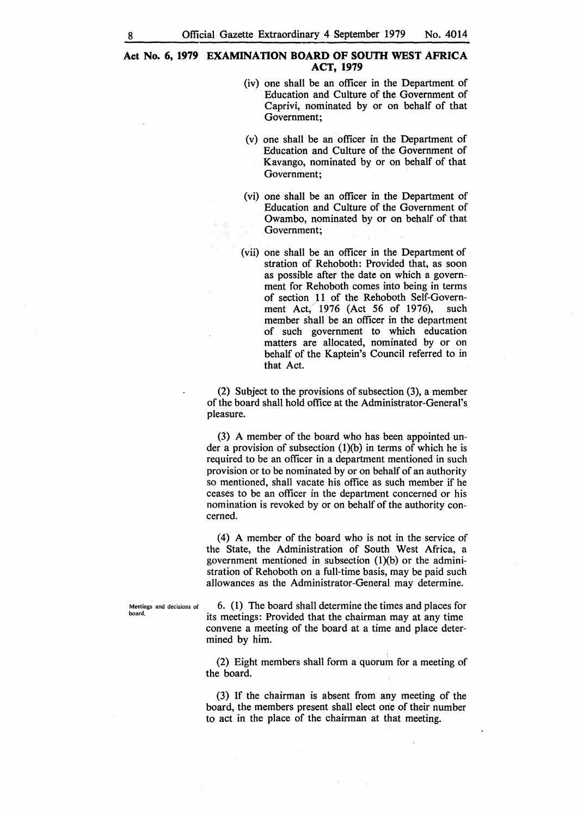#### Act No. 6, 1979 EXAMINATION BOARD OF SOUTH WEST AFRICA **ACT, 1979**

- (iv) one shall be an officer in the Department of Education and Culture of the Government of Caprivi, nominated by or on behalf of that Government;
- (v) one shall be an officer in the Department of Education and Culture of the Government of Kavango, nominated by or on behalf of that Government;
- (vi) one shall be an officer in the Department of Education and Culture of the Government of Owambo, nominated by or on behalf of that Government;
- ( vii) one shall be an officer in the Department of stration of Rehoboth: Provided that, as soon as possible after the date on which a government for Rehoboth comes into being in terms of section 11 of the Rehoboth Self-Government Act, 1976 (Act 56 of 1976), such member shall be an officer in the department of such government to which education matters are allocated, nominated by or on behalf of the Kaptein's Council referred to in that Act.

(2) Subject to the provisions of subsection (3), a member of the board shall hold office at the Administrator-General's pleasure.

(3) A member of the board who has been appointed under a provision of subsection  $(1)(b)$  in terms of which he is required to be an officer in a department mentioned in such provision or to be nominated by or on behalf of an authority so mentioned, shall vacate his office as such member if he ceases to be an officer in the department concerned or his nomination is revoked by or on behalf of the authority concerned.

(4) A member of the board who is not in the service of the State, the Administration of South West Africa, a government mentioned in subsection  $(1)(b)$  or the administration of Rehoboth on a full-time basis, may be paid such allowances as the Administrator-General may determine.

Meetings and decisions of board.

6. (1) The board shall determine the times and places for its meetings: Provided that the chairman may at any time convene a meeting of the board at a time and place determined by him.

(2) Eight members shall form a quorum for a meeting of the board.

(3) If the chairman is absent from any meeting of the board, the members present shall elect orie of their number to act in the place of the chairman at that meeting.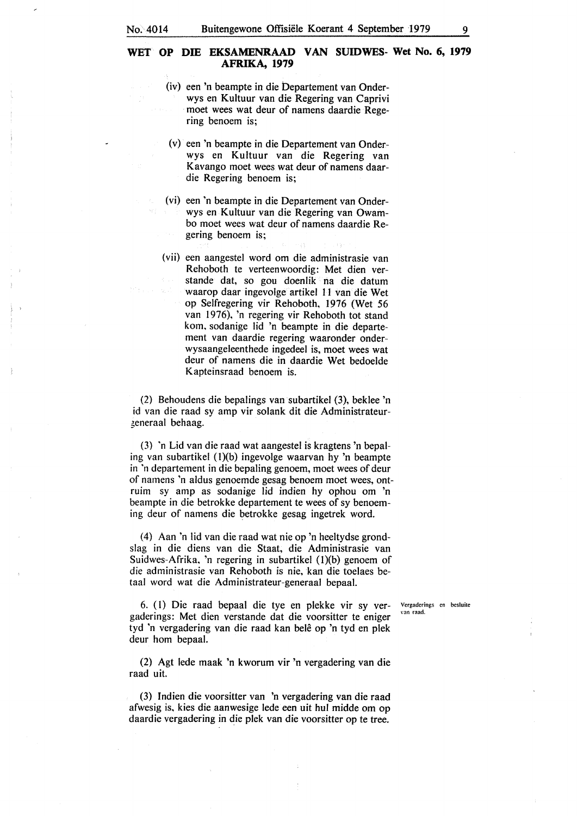#### **WET OP DIB EKSAMENRAAD VAN SUIDWES- Wet No. 6, 1979 AFRIKA, 1979**

- (iv) een 'n beampte in die bepartement van Onderwys en Kultuur van die Regering van Caprivi moet wees wat deur of namens daardie Regering benoem is;
- (v) een 'n beampte in die Departement van Onderwys en Kultuur van die Regering van Kavango moet wees wat deur of namens daardie Regering benoem is;
- ( vi) een 'n beampte in die Departement van Onderwys en Kultuur van die Regering van Owambo moet wees wat deur of namens daardie Regering benoem is;
- (vii) een aangestel word om die administrasie van Rehoboth te verteenwoordig: Met dien verstande dat, so gou doenlik na die datum waarop daar ingevolge artikel 11 van die Wet op Selfregering vir Rehoboth, 1976 (Wet 56 van 1976), 'n regering vir Rehoboth tot stand kom, sodanige lid 'n beampte in die departement van daardie regering waaronder onderwysaangeleenthede ingedeel is, moet wees wat deur of namens die in daardie Wet bedoelde Kapteinsraad benoem is.

(2) Behoudens die bepalings van subartikel (3), beklee 'n id van die raad sy amp vir solank dit die Administrateur zeneraal behaag.

(3) 'n Lid van die raad wat aangestel is kragtens 'n bepaling van subartikel (I)(b) ingevolge waarvan hy 'n beampte in 'n departement in die bepaling genoem, moet wees of deur of namens 'n aldus genoemde gesag benoem moet wees, ontruim sy amp as sodanige lid indien hy ophou om 'n beampte in die betrokke departement te wees of sy benoeming deur of namens die betrokke gesag ingetrek word.

(4) Aan 'n lid van die raad wat nie op 'n heeltydse grondslag in die diens van die Staat, die Administrasie van Suidwes-Afrika, 'n regering in subartikel (I)(b) genoem of die administrasie van Rehoboth is nie, kan die toelaes betaal word wat die Administrateur-generaal bepaal.

6. (I) Die raad bepaal die tye en plekke vir sy vergaderings: Met dien verstande dat die voorsitter te eniger tyd 'n vergadering van die raad kan belê op 'n tyd en plek deur horn bepaal.

(2) Agt lede maak 'n kworum vir 'n vergadering van die raad uit.

(3) lndien die voorsitter van 'n vergadering van die raad afwesig is, kies die aanwesige lede een uit hul midde om op daardie vergadering in die plek van die voorsitter op te tree.

Vcrgadcrings en bcsluite **\'an raad.**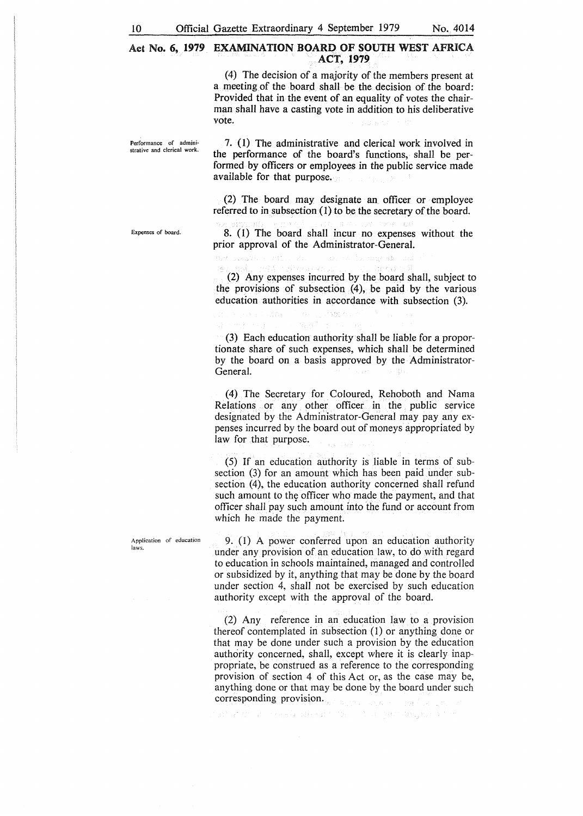#### Act **No. 6, 1979 EXAMINATION BOARD OF SOUTH** WEST AFRICA **ACT, 1979**

(4) The decision of a majority of the members present at a meeting of the board shall be the decision of the board: Provided that in the event of an equality of votes the chairman shall have a casting vote in addition to his deliberative vote.

Performance of administrative and clerical work.

7. (1) The administrative and clerical work involved in the performance of the board's functions, shall be performed by officers or employees in the public service made available for that purpose.

(2) The board may designate an. officer or employee referred to in subsection (1) to be the secretary of the board.

Expenses of board.

8. (1) The board shall incur no expenses without the prior approval of the Administrator-General.

(2) Any expenses incurred by the board shall, subject to the provisions of subsection (4), be paid by the various education authorities in accordance with subsection (3).

li sechi

(3) Each education authority shall be liable for a proportionate share of such expenses, which shall be determined by the board on a basis approved by the Administrator-General.

(4) The Secretary for Coloured, Rehoboth and Nama Relations or any other officer in the public service designated by the Administrator-General may pay any expenses incurred by the board out of moneys appropriated by law for that purpose.

(5) If an education authority is liable in terms of subsection (3) for an amount which has been paid under subsection (4), the education authority concerned shall refund such amount to the officer who made the payment, and that officer shall pay such amount into the fund or account from which he made the payment.

9. (1) A power conferred upon an education authority under any provision of an education law, to do with regard to education in schools maintained, managed and controlled or subsidized by it, anything that may be done by the board under section 4, shall not be exercised by such education authority except with the approval of the board.

(2) Any reference in an education law to a provision thereof contemplated in subsection (1) or anything done or that may be done under such a provision by the education authority concerned, shall, except where it is clearly inappropriate, be construed as a reference to the corresponding provision of section 4 of this Act or, as the case may be, anything done or that may be done by the board under such corresponding provision.

and of the state of the state and the state of the state of the state of the

Application of education laws.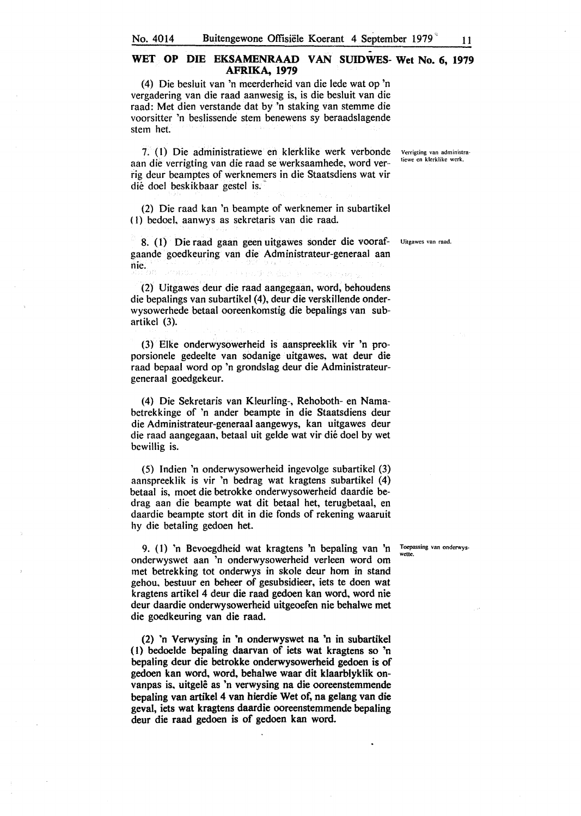#### WET OP DIE EKSAMENRAAD VAN SUIDWES- Wet No. 6, 1979 **AFRIKA, 1979**

(4) Die besluit van 'n meerderheid van die lede wat op 'n vergadering van die raad aanwesig is, is die besluit van die raad: Met dien verstande dat by 'n staking van stemme die voorsitter 'n beslissende stem benewens sy beraadslagende stem het.

7. (l} Die administratiewe en klerklike werk verbonde aan die verrigting van die raad se werksaamhede, word ver-· rig deur beamptes of werknemers in die Staatsdiens wat vir die doel beskikbaar gestel is.

(2) Die raad kan 'n beampte of werknemer in subartikel ( I) bedoel, aanwys as sekretaris van die raad.

8. (1) Die raad gaan geen uitgawes sonder die vooraf- Uitgawes van raad. gaande goedkeuring van die Administrateur-generaal aan nie.

(2) Uitgawes deur die raad aangegaan, word, behoudens die bepalings van subartikel (4), deur die verskillende onderwysowerhede betaal ooreenkomstig die bepalings van subartikel (3).

(3) Elke onderwysowerheid is aanspreeklik vir 'n proporsionele gedeelte van sodanige uitgawes, wat deur die raad bepaal word op 'n grondslag deur die Administrateurgeneraal goedgekeur.

(4) Die Sekretaris van Kleurling-, Rehoboth- en Namabetrekkinge of 'n ander beampte in die Staatsdiens deur die Administrateur-generaal aangewys, kan uitgawes deur die raad aangegaan, betaal uit gelde wat vir die doel by wet bewillig is.

(5) Indien 'n onderwysowerheid ingevolge subartikel (3) aanspreeklik is vir 'n bedrag wat kragtens subartikel (4) betaal is, moet die betrokke onderwysowerheid daardie bedrag aan die beampte wat dit betaal het, terugbetaal, en daardie beampte stort dit in die fonds of rekening waaruit hy die betaling gedoen bet.

9. ( I) 'n Bevoegdheid wat kragtens 'n bepaling van 'n onderwyswet aan 'n onderwysowerheid verleen word om met betrekking tot onderwys in skole deur hom in stand gehou, bestuur en beheer of gesubsidieer, iets te doen wat kragtens artikel 4 deur die raad gedoen kan word, word nie deur daardie onderwysowerheid uitgeoefen nie behalwe met die goedkeuring van die raad.

(2) 'n Verwysing in 'n onderwyswet na 'n in subartikel (I) bedoelde bepaling daarvan of iets wat kragtens so 'n bepaling deur die betrokke onderwysowerheid gedoen is of gedoen kan word, word, behalwe waar dit klaarblyklik onvanpas is, uitgelê as 'n verwysing na die ooreenstemmende bepaling van artikel 4 van hierdie Wet of, na gelang van die geval, iets wat kragtens daardie ooreenstemmende bepaling deur die raad gedoen is of gedoen kan word.

Verrigting van administra~ tiewe en klerklikc werk.

Toepassing van onderwyswctte.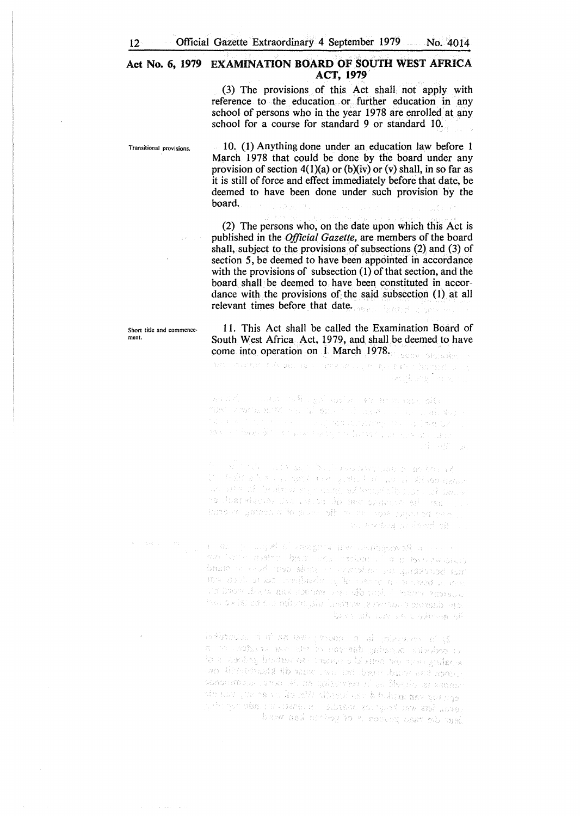#### Act No. 6, 1979 EXAMINATION BOARD OF SOUTH WEST AFRICA **ACT, 1979**

(3) The provisions of this Act shall. not apply with reference to the education or further education in any school of persons who in the year 1978 are enrolled at any school for a course for standard 9 or standard 10.

Transitional provisions.

10. (1) Anything done under an education law before 1 March 1978 that could be done by the board under any provision of section  $4(1)(a)$  or (b)(iv) or (v) shall, in so far as it is still of force and effect immediately before that date, be deemed to have been done under such provision by the board.

(2) The persons who, on the date upon which this Act is published in the *Official Gazette,* are members of the board shall, subject to the provisions of subsections (2) and (3) of section 5, be deemed to have been appointed in accordance with the provisions of subsection  $(1)$  of that section, and the board shall be deemed to have been constituted in accordance with the provisions of the said subsection (1) at all relevant times before that date.

I I. This Act shall be called the Examination Board of South West Africa Act, 1979, and shall be deemed to have come into operation on 1 March 1978.

na chamar sukuain waccomana na politika tanama na h satisficants are all

为你是人, 不知之不是难, shi mail of bo and most offe ານສຸດຂອງໄທ ສະໄດ້ ລາວ ໄດ້ອນ ລາວໄດ້ແຂວງ ລັດເລີ່ມ <sub>ແຕ</sub>່ມີ ສ່ວນ n<br>Alban an Contract of Alban and Alban and Alban and Alban and Alban and Alban and Alban and Alban and Alban and الاقتصادية على المسابقة المتواصلة المسابقة الأسلامية المسابقة.<br>توفيد المسابق المسابقة المسابقة المسابقة المسابقة المسابقة المسابقة nija Et

for the state of the problems as the state of the state a talik a la sua mara a caracter a marca de la caracter.<br>La talika a la sua mara a característica a diseñada in Albert Charles in Marine and the Washington of British and South and South and South Albert Charles and South Albert Charles and South Albert Charles and South Albert Charles and South Albert Charles and South Albert Ch ro dan deus dada shar dirma bansa shi amin'i . company grimes in the proven side in the cross company of plane. ous weeken and set of the

a man is may of a financial area as discovered a man in i e de l'annier de l'année de la companyation de la companyation<br>Le commune de la companyation de la companyation de la companyation de la companyation de la companyation de l<br>Le commune de la companyation de la companyati ina o xim ce na ndone jim lashow je ponasin obnazbi upj the growth that you and the rank

isdimites in a nature promotive and playment of (S). a bedselv odening darvan el var autora arten en a to a wording bindtow or conserve sits about sitingularies. one distributed the more own lost dynamical community. channaiche cron de un quierraren d'un ôbjecte di santar with now give research of van have the second the seasons of the กุลวัย ชุดบางรัยทะ (27 - 532 ค.ศ. 25 - 322 ธ.ค.ศ. 251 ชุดบาง 251 - 252 - 252 ค.ศ. 252 ค.ศ. 252 ค.ศ. 252 ค.ศ. 2 re mais territore e el germon less to turl

Short title and commence ment.